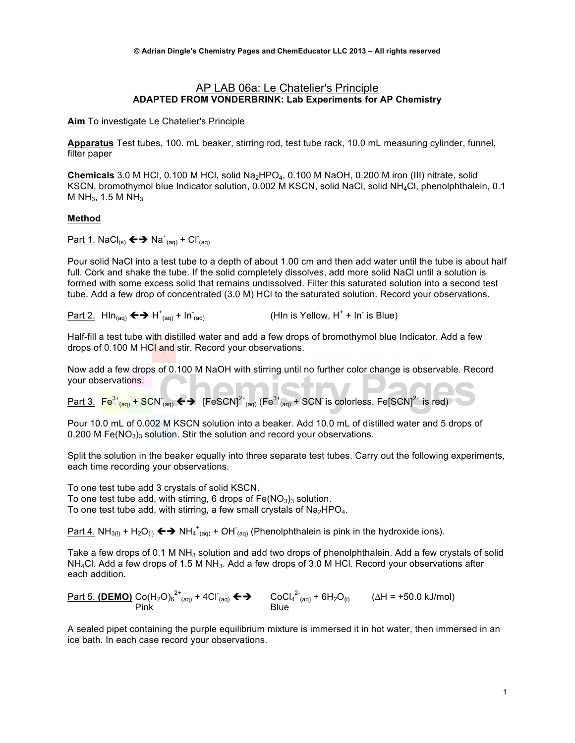### AP LAB 06a: Le Chatelier's Principle **ADAPTED FROM VONDERBRINK: Lab Experiments for AP Chemistry**

**Aim** To investigate Le Chatelier's Principle

**Apparatus** Test tubes, 100. mL beaker, stirring rod, test tube rack, 10.0 mL measuring cylinder, funnel, filter paper

**Chemicals** 3.0 M HCl, 0.100 M HCl, solid Na2HPO4, 0.100 M NaOH, 0.200 M iron (III) nitrate, solid KSCN, bromothymol blue Indicator solution, 0.002 M KSCN, solid NaCl, solid NH<sub>4</sub>Cl, phenolphthalein, 0.1 M NH<sub>3</sub>, 1.5 M NH<sub>3</sub>

### **Method**

Part 1. NaCl(s) çè Na<sup>+</sup> (aq) + Cl- (aq)

Pour solid NaCl into a test tube to a depth of about 1.00 cm and then add water until the tube is about half full. Cork and shake the tube. If the solid completely dissolves, add more solid NaCl until a solution is formed with some excess solid that remains undissolved. Filter this saturated solution into a second test tube. Add a few drop of concentrated (3.0 M) HCl to the saturated solution. Record your observations.

Part 2.  $\mathsf{HIn}_{(aq)} \Longleftrightarrow \mathsf{H}_{(aq)}^+ \dashv \mathsf{In}^ \begin{equation} \begin{array}{ll} \text{(aq)} & \text{(HIn is Yellow, H<sup>+</sup> + In<sup>-</sup> is Blue)} \end{array} \end{equation}$ 

Half-fill a test tube with distilled water and add a few drops of bromothymol blue Indicator. Add a few drops of 0.100 M HCl and stir. Record your observations.

Now add a few drops of 0.100 M NaOH with stirring until no further color change is observable. Record your observations. NT.

<u>Part 3.  $\frac{Fe^{3+}$ <sub>(aq)</sub> + SC</u>N <sub>(aq)</sub> ←  $\rightarrow$  [FeSCN]<sup>2+</sup> <sub>(aq)</sub> (Fe $^{3+}$ <sub>(aq)</sub> + SCN is colorless, Fe[SCN]<sup>2+</sup> is red)

Pour 10.0 mL of 0.002 M KSCN solution into a beaker. Add 10.0 mL of distilled water and 5 drops of 0.200 M Fe( $NO<sub>3</sub>$ )<sub>3</sub> solution. Stir the solution and record your observations.

Split the solution in the beaker equally into three separate test tubes. Carry out the following experiments, each time recording your observations.

To one test tube add 3 crystals of solid KSCN. To one test tube add, with stirring, 6 drops of  $Fe(NO<sub>3</sub>)<sub>3</sub>$  solution. To one test tube add, with stirring, a few small crystals of  $Na<sub>2</sub>HPO<sub>4</sub>$ .

<u>Part 4.</u> NH<sub>3(l)</sub> + H<sub>2</sub>O<sub>(l)</sub> ← → NH<sub>4</sub><sup>+</sup><sub>(aq)</sub> + OH<sup>-</sup><sub>(aq)</sub> (Phenolphthalein is pink in the hydroxide ions).

Take a few drops of 0.1 M NH<sub>3</sub> solution and add two drops of phenolphthalein. Add a few crystals of solid  $NH<sub>4</sub>Cl$ . Add a few drops of 1.5 M NH<sub>3</sub>. Add a few drops of 3.0 M HCl. Record your observations after each addition.

 $Part 5.$  (**DEMO)** Co(H<sub>2</sub>O)<sub>6</sub><sup>2+</sup><sub>(aq)</sub> + 4Cl<sup>-</sup><sub>(aq)</sub> ← → CoCl<sub>4</sub><sup>2-</sup><sub>(aq)</sub> + 6H<sub>2</sub>O<sub>(l)</sub> (∆H = +50.0 kJ/mol) Pink Blue

A sealed pipet containing the purple equilibrium mixture is immersed it in hot water, then immersed in an ice bath. In each case record your observations.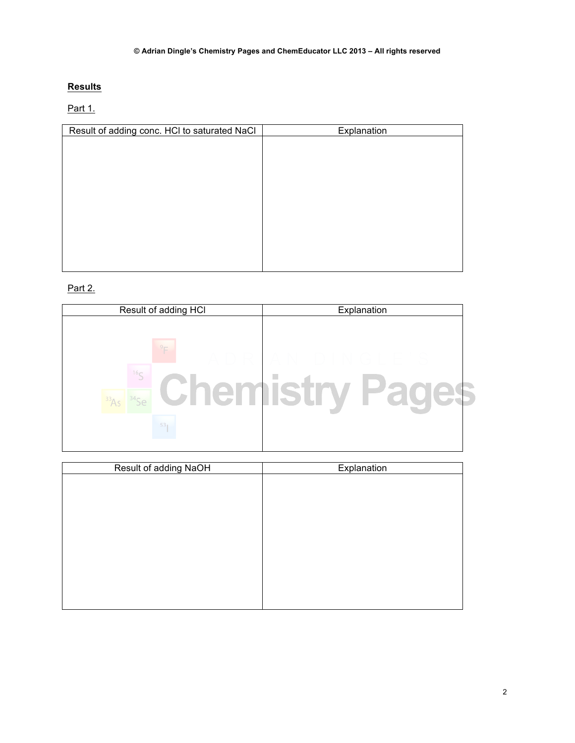# **Results**

# Part 1.

| Result of adding conc. HCI to saturated NaCl | Explanation |
|----------------------------------------------|-------------|
|                                              |             |
|                                              |             |
|                                              |             |
|                                              |             |
|                                              |             |
|                                              |             |
|                                              |             |
|                                              |             |
|                                              |             |
|                                              |             |
|                                              |             |

# Part 2.

| Result of adding HCI                                 | Explanation |
|------------------------------------------------------|-------------|
| $-9-$<br>16 <sub>c</sub><br>len i<br>53 <sub>1</sub> | П           |

| Result of adding NaOH | Explanation |
|-----------------------|-------------|
|                       |             |
|                       |             |
|                       |             |
|                       |             |
|                       |             |
|                       |             |
|                       |             |
|                       |             |
|                       |             |
|                       |             |
|                       |             |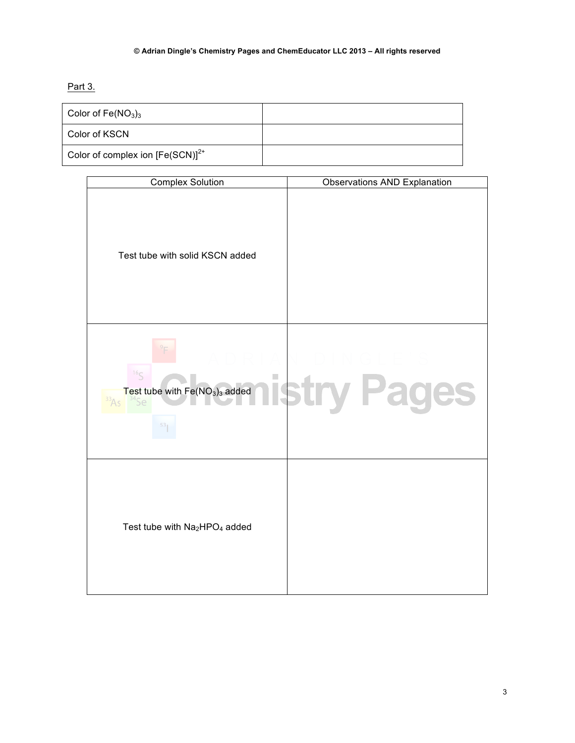# **© Adrian Dingle's Chemistry Pages and ChemEducator LLC 2013 – All rights reserved**

Part 3.

| Color of $Fe(NO3)3$                   |  |
|---------------------------------------|--|
| Color of KSCN                         |  |
| Color of complex ion $[Fe(SCN)]^{2+}$ |  |

| <b>Complex Solution</b>                                                             | <b>Observations AND Explanation</b> |
|-------------------------------------------------------------------------------------|-------------------------------------|
| Test tube with solid KSCN added                                                     |                                     |
| 16 <sub>S</sub><br>$\Box$<br>Test tube with Fe(NO <sub>3</sub> ) <sub>3</sub> added | stry Pages                          |
| Test tube with Na2HPO <sub>4</sub> added                                            |                                     |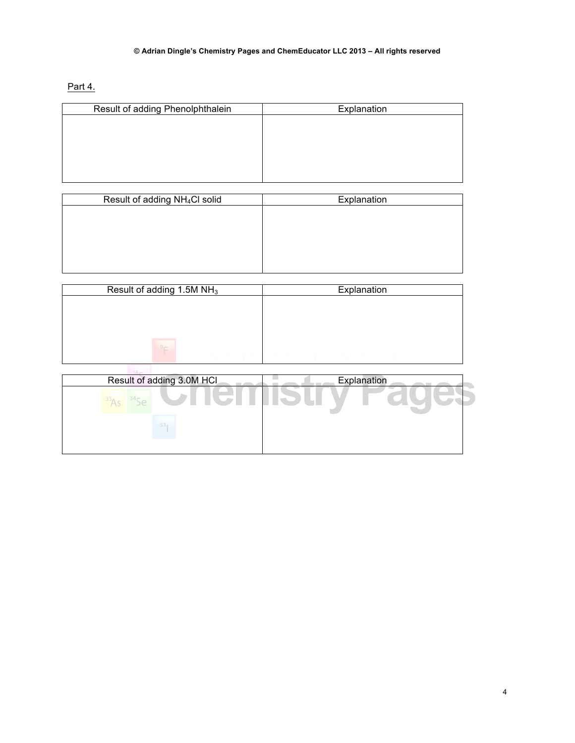### **© Adrian Dingle's Chemistry Pages and ChemEducator LLC 2013 – All rights reserved**

Part 4.

| Result of adding Phenolphthalein | Explanation |
|----------------------------------|-------------|
|                                  |             |
|                                  |             |
|                                  |             |
|                                  |             |
|                                  |             |

| Result of adding NH <sub>4</sub> Cl solid | Explanation |
|-------------------------------------------|-------------|
|                                           |             |
|                                           |             |
|                                           |             |
|                                           |             |
|                                           |             |
|                                           |             |

| Result of adding 1.5M NH <sub>3</sub> | Explanation |
|---------------------------------------|-------------|
|                                       |             |
|                                       |             |
|                                       |             |
| $9 -$                                 |             |

| Result of adding 3.0M HCl | Explanation |
|---------------------------|-------------|
| <b>STEP</b>               |             |
| 53 <sub>1</sub>           |             |
|                           |             |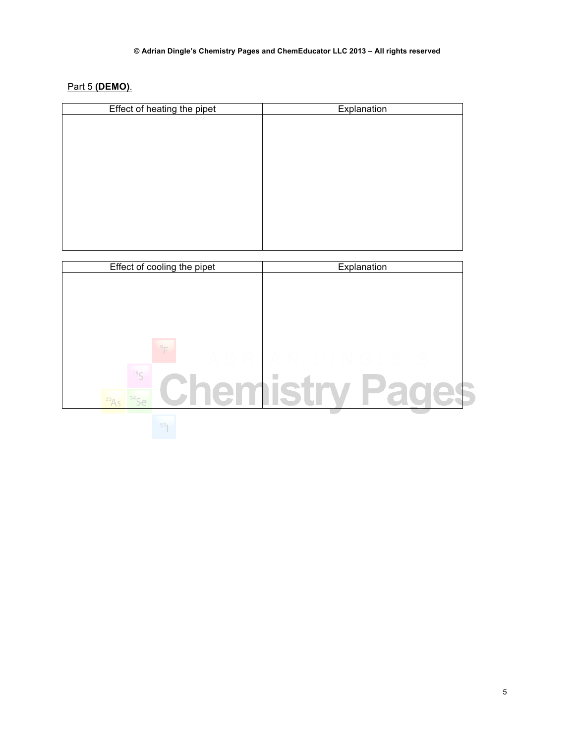Part 5 **(DEMO)**.

| Effect of heating the pipet | Explanation |
|-----------------------------|-------------|
|                             |             |
|                             |             |
|                             |             |
|                             |             |
|                             |             |
|                             |             |
|                             |             |
|                             |             |
|                             |             |
|                             |             |
|                             |             |

| Effect of cooling the pipet | Explanation |
|-----------------------------|-------------|
|                             |             |
|                             |             |
|                             |             |
|                             |             |
|                             |             |
|                             |             |
|                             |             |
| 16 <sub>C</sub>             |             |
|                             |             |
|                             |             |
|                             |             |
| 53                          |             |